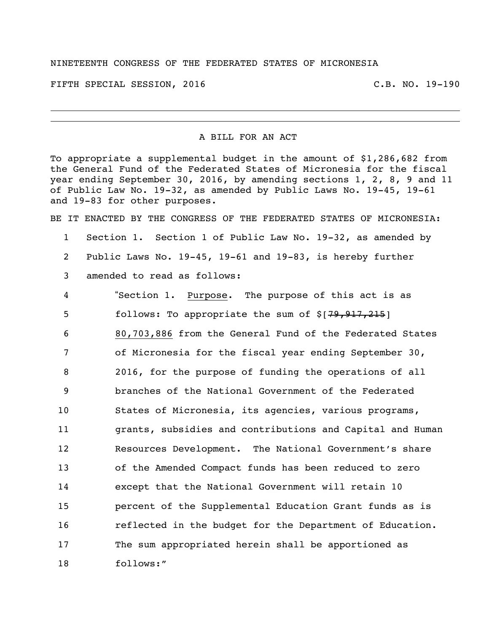## NINETEENTH CONGRESS OF THE FEDERATED STATES OF MICRONESIA

FIFTH SPECIAL SESSION, 2016 C.B. NO. 19-190

## A BILL FOR AN ACT

To appropriate a supplemental budget in the amount of \$1,286,682 from the General Fund of the Federated States of Micronesia for the fiscal year ending September 30, 2016, by amending sections 1, 2, 8, 9 and 11 of Public Law No. 19-32, as amended by Public Laws No. 19-45, 19-61 and 19-83 for other purposes.

BE IT ENACTED BY THE CONGRESS OF THE FEDERATED STATES OF MICRONESIA:

- Section 1. Section 1 of Public Law No. 19-32, as amended by Public Laws No. 19-45, 19-61 and 19-83, is hereby further
- amended to read as follows:

 "Section 1. Purpose. The purpose of this act is as 5 follows: To appropriate the sum of \$[79,917,215] 80,703,886 from the General Fund of the Federated States of Micronesia for the fiscal year ending September 30, 2016, for the purpose of funding the operations of all branches of the National Government of the Federated States of Micronesia, its agencies, various programs, grants, subsidies and contributions and Capital and Human Resources Development. The National Government's share of the Amended Compact funds has been reduced to zero except that the National Government will retain 10 percent of the Supplemental Education Grant funds as is reflected in the budget for the Department of Education. The sum appropriated herein shall be apportioned as follows:"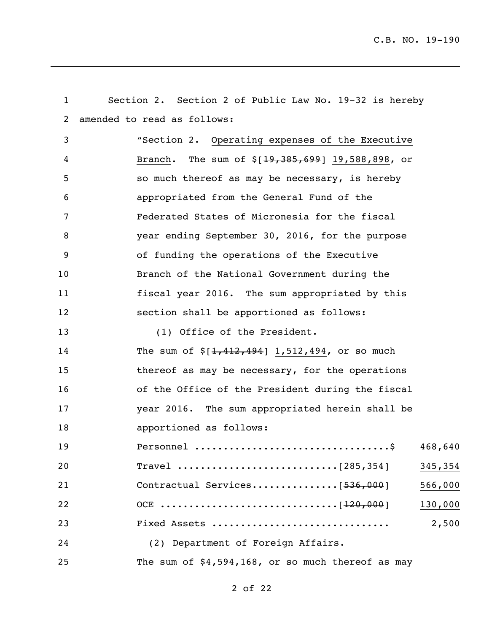| $\mathbf{1}$      | Section 2. Section 2 of Public Law No. 19-32 is hereby |
|-------------------|--------------------------------------------------------|
| $\overline{2}$    | amended to read as follows:                            |
| 3                 | "Section 2. Operating expenses of the Executive        |
| 4                 | Branch. The sum of $$[19,385,699]$ 19,588,898, or      |
| 5                 | so much thereof as may be necessary, is hereby         |
| 6                 | appropriated from the General Fund of the              |
| 7                 | Federated States of Micronesia for the fiscal          |
| 8                 | year ending September 30, 2016, for the purpose        |
| 9                 | of funding the operations of the Executive             |
| 10                | Branch of the National Government during the           |
| 11                | fiscal year 2016. The sum appropriated by this         |
| $12 \overline{ }$ | section shall be apportioned as follows:               |
| 13                | (1) Office of the President.                           |
| 14                | The sum of $\S[1, 412, 494]$ 1,512,494, or so much     |
| 15                | thereof as may be necessary, for the operations        |
| 16                | of the Office of the President during the fiscal       |
| 17                | year 2016. The sum appropriated herein shall be        |
| 18                | apportioned as follows:                                |
| 19                | 468,640                                                |
| 20                | 345,354                                                |
| 21                | Contractual Services[536,000]<br>566,000               |
| 22                | 130,000                                                |
| 23                | Fixed Assets<br>2,500                                  |
| 24                | (2) Department of Foreign Affairs.                     |
| 25                | The sum of $$4,594,168$ , or so much thereof as may    |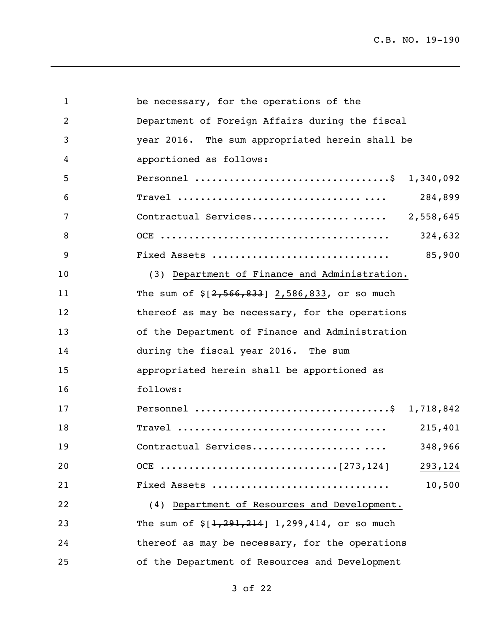| $\mathbf{1}$ | be necessary, for the operations of the            |
|--------------|----------------------------------------------------|
| 2            | Department of Foreign Affairs during the fiscal    |
| 3            | year 2016. The sum appropriated herein shall be    |
| 4            | apportioned as follows:                            |
| 5            | Personnel \$ 1,340,092                             |
| 6            | 284,899                                            |
| 7            | Contractual Services 2,558,645                     |
| 8            | 324,632                                            |
| 9            | 85,900<br>Fixed Assets                             |
| 10           | (3) Department of Finance and Administration.      |
| 11           | The sum of $\S[2, 566, 833]$ 2,586,833, or so much |
| 12           | thereof as may be necessary, for the operations    |
| 13           | of the Department of Finance and Administration    |
| 14           | during the fiscal year 2016. The sum               |
| 15           | appropriated herein shall be apportioned as        |
| 16           | follows:                                           |
| 17           | Personnel \$ 1,718,842                             |
| 18           | 215,401                                            |
| 19           | 348,966<br>Contractual Services                    |
| 20           | 293,124                                            |
| 21           | 10,500<br>Fixed Assets                             |
| 22           | (4) Department of Resources and Development.       |
| 23           | The sum of $\S[1, 291, 214]$ 1,299,414, or so much |
| 24           | thereof as may be necessary, for the operations    |
| 25           | of the Department of Resources and Development     |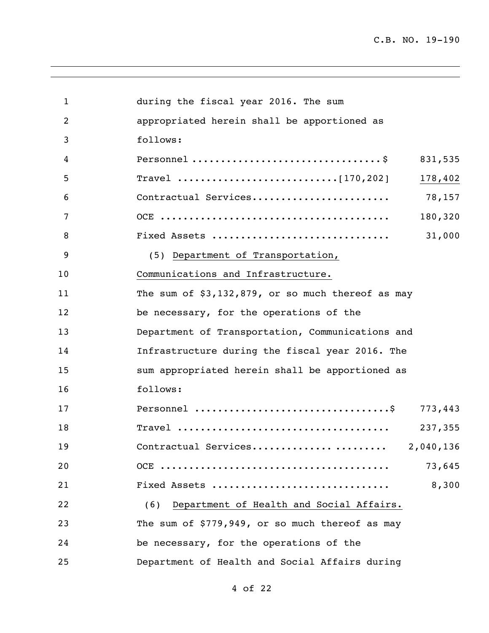| $\mathbf{1}$   | during the fiscal year 2016. The sum                |
|----------------|-----------------------------------------------------|
| $\overline{2}$ | appropriated herein shall be apportioned as         |
| 3              | follows:                                            |
| 4              | 831,535                                             |
| 5              | 178,402                                             |
| 6              | Contractual Services<br>78,157                      |
| 7              | 180,320                                             |
| 8              | 31,000<br>Fixed Assets                              |
| 9              | (5) Department of Transportation,                   |
| 10             | Communications and Infrastructure.                  |
| 11             | The sum of $$3,132,879$ , or so much thereof as may |
| 12             | be necessary, for the operations of the             |
| 13             | Department of Transportation, Communications and    |
| 14             | Infrastructure during the fiscal year 2016. The     |
| 15             | sum appropriated herein shall be apportioned as     |
| 16             | follows:                                            |
| 17             | 773,443                                             |
| 18             | 237,355                                             |
| 19             | Contractual Services<br>2,040,136                   |
| 20             | 73,645                                              |
| 21             | 8,300<br>Fixed Assets                               |
| 22             | Department of Health and Social Affairs.<br>(6)     |
| 23             | The sum of \$779,949, or so much thereof as may     |
| 24             | be necessary, for the operations of the             |
| 25             | Department of Health and Social Affairs during      |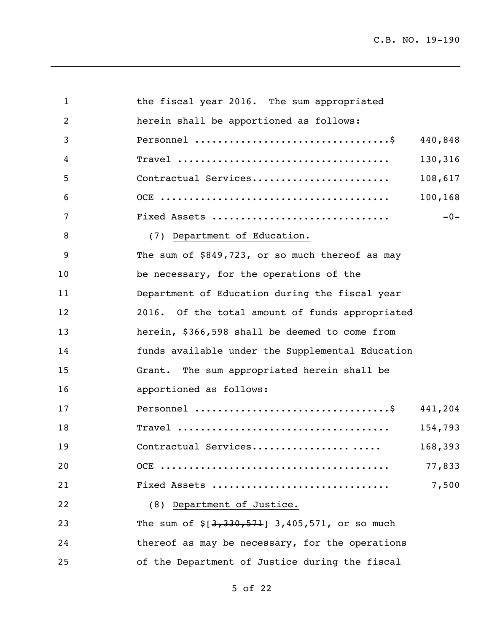| 1              | the fiscal year 2016. The sum appropriated       |          |
|----------------|--------------------------------------------------|----------|
| $\overline{2}$ | herein shall be apportioned as follows:          |          |
| 3              |                                                  | 440,848  |
| 4              |                                                  | 130,316  |
| 5              | Contractual Services                             | 108,617  |
| 6              |                                                  | 100, 168 |
| 7              | Fixed Assets                                     | $-0-$    |
| 8              | (7) Department of Education.                     |          |
| 9              | The sum of \$849,723, or so much thereof as may  |          |
| 10             | be necessary, for the operations of the          |          |
| 11             | Department of Education during the fiscal year   |          |
| 12             | 2016. Of the total amount of funds appropriated  |          |
| 13             | herein, \$366,598 shall be deemed to come from   |          |
| 14             | funds available under the Supplemental Education |          |
| 15             | Grant. The sum appropriated herein shall be      |          |
| 16             | apportioned as follows:                          |          |
| 17             |                                                  | 441,204  |
| 18             |                                                  | 154,793  |
| 19             | Contractual Services                             | 168,393  |
| 20             |                                                  | 77,833   |
| 21             | Fixed Assets                                     | 7,500    |
| 22             | (8) Department of Justice.                       |          |
| 23             | The sum of $$[3,330,571]$ 3,405,571, or so much  |          |
| 24             | thereof as may be necessary, for the operations  |          |
| 25             | of the Department of Justice during the fiscal   |          |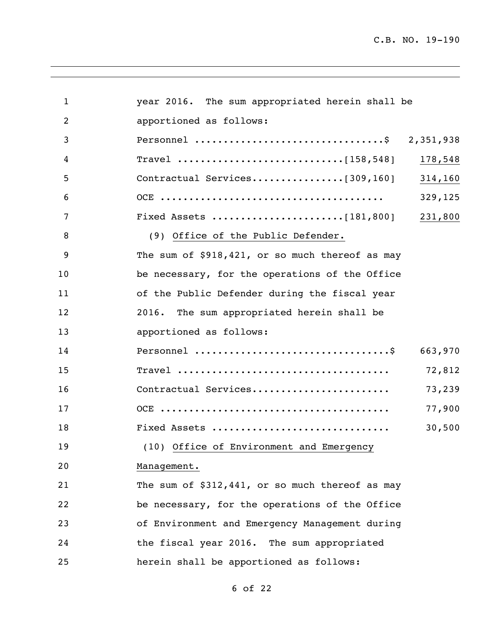| $\mathbf{1}$ | year 2016. The sum appropriated herein shall be |         |
|--------------|-------------------------------------------------|---------|
| 2            | apportioned as follows:                         |         |
| 3            | Personnel \$ 2,351,938                          |         |
| 4            |                                                 | 178,548 |
| 5            | Contractual Services[309,160] 314,160           |         |
| 6            |                                                 | 329,125 |
| 7            |                                                 | 231,800 |
| 8            | (9) Office of the Public Defender.              |         |
| 9            | The sum of \$918,421, or so much thereof as may |         |
| 10           | be necessary, for the operations of the Office  |         |
| 11           | of the Public Defender during the fiscal year   |         |
| 12           | The sum appropriated herein shall be<br>2016.   |         |
| 13           | apportioned as follows:                         |         |
| 14           |                                                 | 663,970 |
| 15           |                                                 | 72,812  |
| 16           | Contractual Services                            | 73,239  |
| 17           |                                                 | 77,900  |
| 18           | Fixed Assets                                    | 30,500  |
| 19           | (10) Office of Environment and Emergency        |         |
| 20           | Management.                                     |         |
| 21           | The sum of \$312,441, or so much thereof as may |         |
| 22           | be necessary, for the operations of the Office  |         |
| 23           | of Environment and Emergency Management during  |         |
| 24           | the fiscal year 2016. The sum appropriated      |         |
| 25           | herein shall be apportioned as follows:         |         |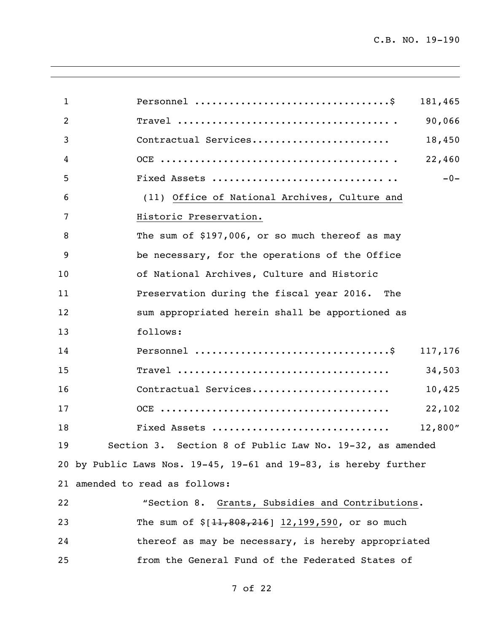| 1  | 181,465                                                          |
|----|------------------------------------------------------------------|
| 2  | 90,066                                                           |
| 3  | Contractual Services<br>18,450                                   |
| 4  | 22,460                                                           |
| 5  | $-0-$                                                            |
| 6  | (11) Office of National Archives, Culture and                    |
| 7  | Historic Preservation.                                           |
| 8  | The sum of \$197,006, or so much thereof as may                  |
| 9  | be necessary, for the operations of the Office                   |
| 10 | of National Archives, Culture and Historic                       |
| 11 | Preservation during the fiscal year 2016. The                    |
| 12 | sum appropriated herein shall be apportioned as                  |
| 13 | follows:                                                         |
| 14 | 117,176                                                          |
| 15 | 34,503                                                           |
| 16 | Contractual Services<br>10,425                                   |
| 17 | 22,102                                                           |
| 18 | Fixed Assets<br>12,800''                                         |
| 19 | Section 3. Section 8 of Public Law No. 19-32, as amended         |
|    | 20 by Public Laws Nos. 19-45, 19-61 and 19-83, is hereby further |
|    | 21 amended to read as follows:                                   |
| 22 | "Section 8. Grants, Subsidies and Contributions.                 |
| 23 | The sum of $$[11,808,216]$ 12,199,590, or so much                |
| 24 | thereof as may be necessary, is hereby appropriated              |
| 25 | from the General Fund of the Federated States of                 |
|    |                                                                  |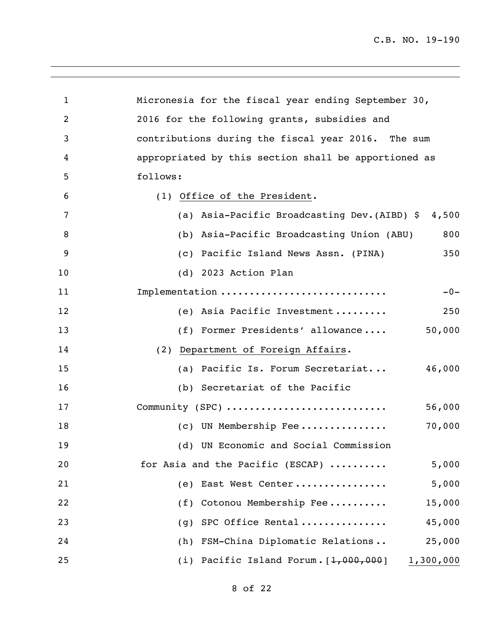| $\mathbf{1}$   | Micronesia for the fiscal year ending September 30,   |
|----------------|-------------------------------------------------------|
| $\overline{c}$ | 2016 for the following grants, subsidies and          |
| 3              | contributions during the fiscal year 2016. The sum    |
| 4              | appropriated by this section shall be apportioned as  |
| 5              | follows:                                              |
| 6              | (1) Office of the President.                          |
| 7              | (a) Asia-Pacific Broadcasting Dev. (AIBD) \$<br>4,500 |
| 8              | (b) Asia-Pacific Broadcasting Union (ABU)<br>800      |
| 9              | 350<br>(c) Pacific Island News Assn. (PINA)           |
| 10             | (d) 2023 Action Plan                                  |
| 11             | Implementation<br>$-0-$                               |
| 12             | (e) Asia Pacific Investment<br>250                    |
| 13             | 50,000<br>(f) Former Presidents' allowance            |
| 14             | (2) Department of Foreign Affairs.                    |
| 15             | 46,000<br>(a) Pacific Is. Forum Secretariat           |
| 16             | (b) Secretariat of the Pacific                        |
| 17             | Community (SPC)<br>56,000                             |
| 18             | 70,000<br>(c) UN Membership Fee                       |
| 19             | (d) UN Economic and Social Commission                 |
| 20             | for Asia and the Pacific (ESCAP)<br>5,000             |
| 21             | 5,000<br>East West Center<br>(e)                      |
| 22             | Cotonou Membership Fee<br>15,000<br>(f)               |
| 23             | SPC Office Rental<br>45,000<br>(q)                    |
| 24             | (h) FSM-China Diplomatic Relations<br>25,000          |
| 25             | (i) Pacific Island Forum. $[1,000,000]$<br>1,300,000  |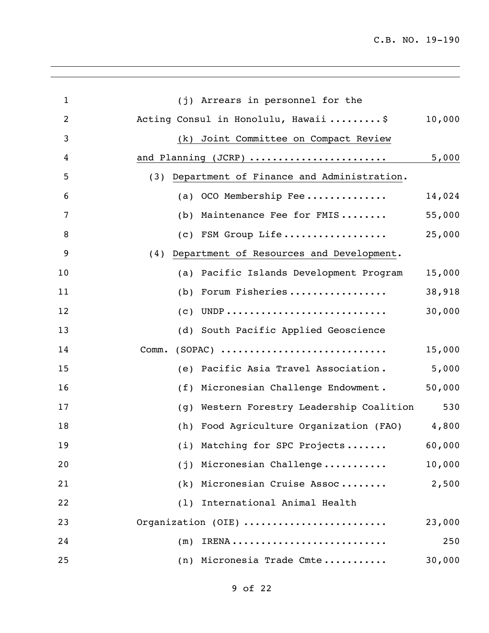| $\mathbf{1}$   | (j) Arrears in personnel for the                 |        |
|----------------|--------------------------------------------------|--------|
| $\overline{2}$ | Acting Consul in Honolulu, Hawaii \$             | 10,000 |
| 3              | (k) Joint Committee on Compact Review            |        |
| 4              | and Planning (JCRP)                              | 5,000  |
| 5              | (3) Department of Finance and Administration.    |        |
| 6              | OCO Membership Fee<br>(a)                        | 14,024 |
| 7              | Maintenance Fee for FMIS<br>(b)                  | 55,000 |
| 8              | (c) FSM Group Life                               | 25,000 |
| 9              | Department of Resources and Development.<br>(4)  |        |
| 10             | Pacific Islands Development Program<br>(a)       | 15,000 |
| 11             | Forum Fisheries<br>(b)                           | 38,918 |
| 12             | (c)                                              | 30,000 |
| 13             | (d) South Pacific Applied Geoscience             |        |
| 14             | $(SOPAC)$<br>Comm.                               | 15,000 |
| 15             | Pacific Asia Travel Association.<br>(e)          | 5,000  |
| 16             | Micronesian Challenge Endowment.<br>(f)          | 50,000 |
| 17             | Western Forestry Leadership Coalition<br>(q)     | 530    |
| 18             | (h)<br>Food Agriculture Organization (FAO) 4,800 |        |
| 19             | (i) Matching for SPC Projects                    | 60,000 |
| 20             | Micronesian Challenge<br>(j)                     | 10,000 |
| 21             | (k) Micronesian Cruise Assoc                     | 2,500  |
| 22             | International Animal Health<br>(1)               |        |
| 23             | Organization (OIE)                               | 23,000 |
| 24             | (m)                                              | 250    |
| 25             | (n) Micronesia Trade Cmte                        | 30,000 |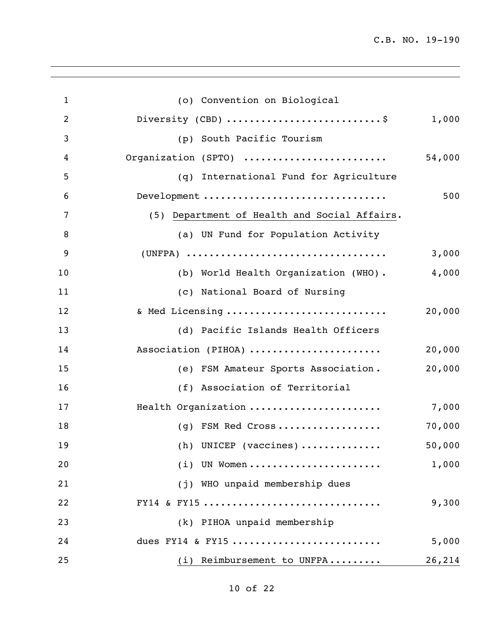| $\mathbf{1}$   | (o) Convention on Biological                 |        |
|----------------|----------------------------------------------|--------|
| $\overline{c}$ | Diversity (CBD) \$                           | 1,000  |
| 3              | South Pacific Tourism<br>(p)                 |        |
| 4              | Organization (SPTO)                          | 54,000 |
| 5              | (q) International Fund for Agriculture       |        |
| 6              | Development                                  | 500    |
| 7              | (5) Department of Health and Social Affairs. |        |
| 8              | (a) UN Fund for Population Activity          |        |
| 9              |                                              | 3,000  |
| 10             | (b) World Health Organization (WHO).         | 4,000  |
| 11             | (c) National Board of Nursing                |        |
| 12             | & Med Licensing                              | 20,000 |
| 13             | (d) Pacific Islands Health Officers          |        |
| 14             | Association (PIHOA)                          | 20,000 |
| 15             | (e) FSM Amateur Sports Association.          | 20,000 |
| 16             | (f) Association of Territorial               |        |
| 17             | Health Organization                          | 7,000  |
| 18             | (g) FSM Red Cross                            | 70,000 |
| 19             | $(h)$ UNICEP (vaccines)                      | 50,000 |
| 20             | $(i)$ UN Women                               | 1,000  |
| 21             | (j) WHO unpaid membership dues               |        |
| 22             | FY14 & FY15                                  | 9,300  |
| 23             | (k) PIHOA unpaid membership                  |        |
| 24             | dues FY14 & FY15                             | 5,000  |
| 25             | (i) Reimbursement to UNFPA                   | 26,214 |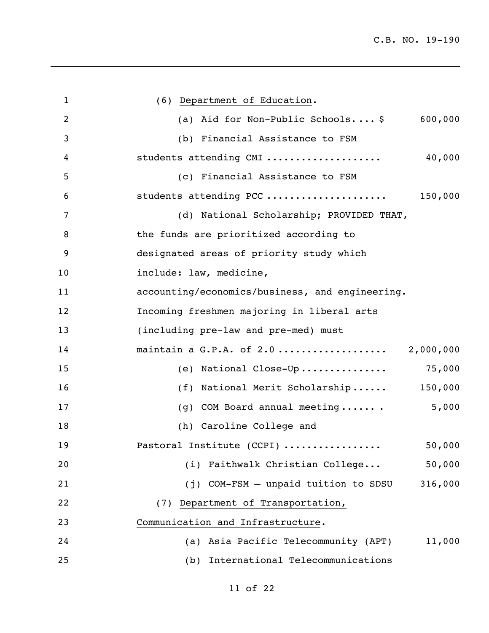| 1              | (6) Department of Education.                    |
|----------------|-------------------------------------------------|
| $\overline{2}$ | (a) Aid for Non-Public Schools \$<br>600,000    |
| 3              | (b) Financial Assistance to FSM                 |
| 4              | students attending CMI<br>40,000                |
| 5              | (c) Financial Assistance to FSM                 |
| 6              | students attending PCC<br>150,000               |
| 7              | (d) National Scholarship; PROVIDED THAT,        |
| 8              | the funds are prioritized according to          |
| 9              | designated areas of priority study which        |
| 10             | include: law, medicine,                         |
| 11             | accounting/economics/business, and engineering. |
| 12             | Incoming freshmen majoring in liberal arts      |
| 13             | (including pre-law and pre-med) must            |
| 14             | maintain a G.P.A. of 2.0<br>2,000,000           |
| 15             | 75,000<br>(e) National Close-Up                 |
| 16             | 150,000<br>National Merit Scholarship<br>(f)    |
| 17             | COM Board annual meeting<br>5,000<br>(q)        |
| 18             | (h) Caroline College and                        |
| 19             | Pastoral Institute (CCPI)<br>50,000             |
| 20             | (i) Faithwalk Christian College<br>50,000       |
| 21             | (j) COM-FSM - unpaid tuition to SDSU<br>316,000 |
| 22             | (7) Department of Transportation,               |
| 23             | Communication and Infrastructure.               |
| 24             | (a) Asia Pacific Telecommunity (APT)<br>11,000  |
| 25             | International Telecommunications<br>(b)         |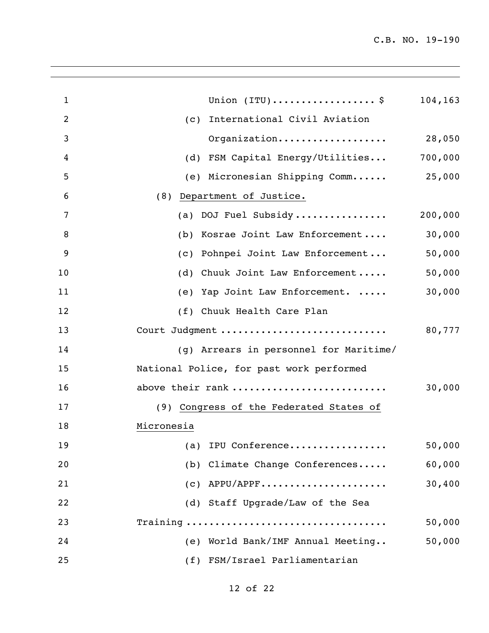| 1  | Union $(\texttt{ITU}) \ldots \ldots \ldots \ldots \ldots \$ | 104,163 |
|----|-------------------------------------------------------------|---------|
| 2  | (c) International Civil Aviation                            |         |
| 3  | Organization                                                | 28,050  |
| 4  | (d) FSM Capital Energy/Utilities                            | 700,000 |
| 5  | (e) Micronesian Shipping Comm                               | 25,000  |
| 6  | (8) Department of Justice.                                  |         |
| 7  | (a) DOJ Fuel Subsidy                                        | 200,000 |
| 8  | (b) Kosrae Joint Law Enforcement                            | 30,000  |
| 9  | (c) Pohnpei Joint Law Enforcement                           | 50,000  |
| 10 | (d) Chuuk Joint Law Enforcement                             | 50,000  |
| 11 | (e) Yap Joint Law Enforcement.                              | 30,000  |
| 12 | (f) Chuuk Health Care Plan                                  |         |
| 13 | Court Judgment                                              | 80,777  |
| 14 | (g) Arrears in personnel for Maritime/                      |         |
| 15 | National Police, for past work performed                    |         |
| 16 | above their rank                                            | 30,000  |
| 17 | (9) Congress of the Federated States of                     |         |
| 18 | Micronesia                                                  |         |
| 19 | (a) IPU Conference                                          | 50,000  |
| 20 | (b) Climate Change Conferences                              | 60,000  |
| 21 | $(c)$ APPU/APPF                                             | 30,400  |
| 22 | (d) Staff Upgrade/Law of the Sea                            |         |
| 23 |                                                             | 50,000  |
| 24 | (e) World Bank/IMF Annual Meeting                           | 50,000  |
| 25 | (f) FSM/Israel Parliamentarian                              |         |
|    |                                                             |         |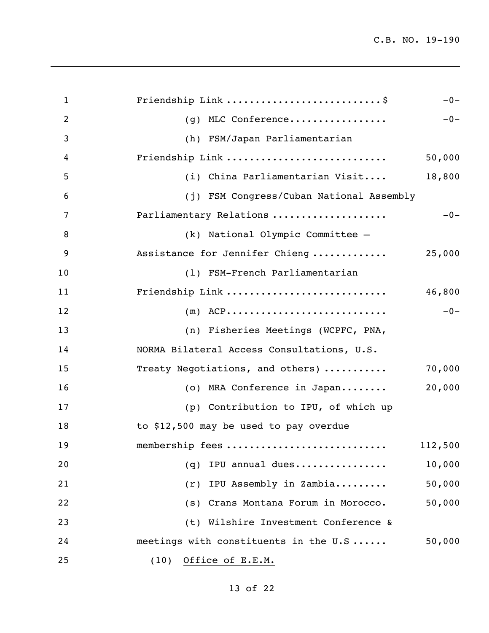| $\mathbf{1}$   | Friendship Link \$                         | $-0-$   |
|----------------|--------------------------------------------|---------|
| $\overline{2}$ | (g) MLC Conference                         | $-0-$   |
| 3              | (h) FSM/Japan Parliamentarian              |         |
| 4              | Friendship Link                            | 50,000  |
| 5              | (i) China Parliamentarian Visit            | 18,800  |
| 6              | (j) FSM Congress/Cuban National Assembly   |         |
| 7              | Parliamentary Relations                    | $-0-$   |
| 8              | (k) National Olympic Committee -           |         |
| 9              | Assistance for Jennifer Chieng             | 25,000  |
| 10             | (1) FSM-French Parliamentarian             |         |
| 11             | Friendship Link                            | 46,800  |
| 12             | $(m)$ ACP                                  | $-0-$   |
| 13             | (n) Fisheries Meetings (WCPFC, PNA,        |         |
| 14             | NORMA Bilateral Access Consultations, U.S. |         |
| 15             | Treaty Negotiations, and others)           | 70,000  |
| 16             | (o) MRA Conference in Japan                | 20,000  |
| 17             | (p) Contribution to IPU, of which up       |         |
| 18             | to \$12,500 may be used to pay overdue     |         |
| 19             | membership fees                            | 112,500 |
| 20             | (q) IPU annual dues                        | 10,000  |
| 21             | (r) IPU Assembly in Zambia                 | 50,000  |
| 22             | (s) Crans Montana Forum in Morocco.        | 50,000  |
| 23             | (t) Wilshire Investment Conference &       |         |
| 24             | meetings with constituents in the U.S      | 50,000  |
| 25             | Office of E.E.M.<br>(10)                   |         |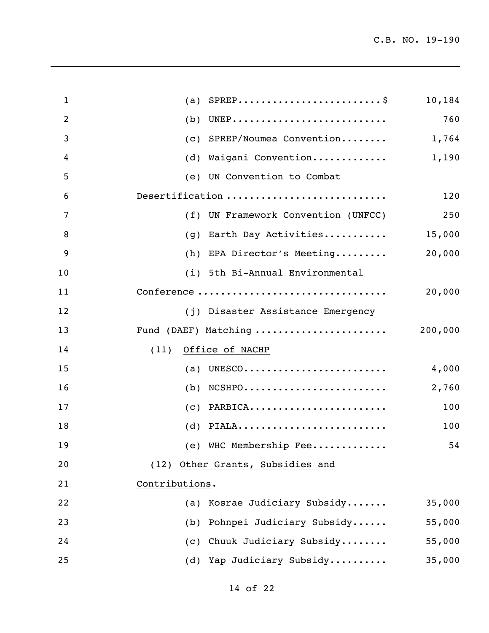| $\mathbf{1}$   | (a)                                 | 10,184  |
|----------------|-------------------------------------|---------|
| $\overline{2}$ | (b)                                 | 760     |
| 3              | SPREP/Noumea Convention<br>(C)      | 1,764   |
| $\overline{4}$ | Waigani Convention<br>(d)           | 1,190   |
| 5              | UN Convention to Combat<br>(e)      |         |
| 6              | Desertification                     | 120     |
| 7              | (f) UN Framework Convention (UNFCC) | 250     |
| 8              | Earth Day Activities<br>(q)         | 15,000  |
| 9              | (h) EPA Director's Meeting          | 20,000  |
| 10             | (i) 5th Bi-Annual Environmental     |         |
| 11             | Conference                          | 20,000  |
| 12             | (j) Disaster Assistance Emergency   |         |
| 13             | Fund (DAEF) Matching                | 200,000 |
| 14             | Office of NACHP<br>(11)             |         |
| 15             | (a) UNESCO                          | 4,000   |
| 16             | $NCSHP0$<br>(b)                     | 2,760   |
| 17             | $(c)$ PARBICA                       | 100     |
| 18             | $(d)$ PIALA                         | 100     |
| 19             | (e) WHC Membership Fee              | 54      |
| 20             | (12) Other Grants, Subsidies and    |         |
| 21             | Contributions.                      |         |
| 22             | Kosrae Judiciary Subsidy<br>(a)     | 35,000  |
| 23             | Pohnpei Judiciary Subsidy<br>(b)    | 55,000  |
| 24             | Chuuk Judiciary Subsidy<br>(C)      | 55,000  |
| 25             | (d) Yap Judiciary Subsidy           | 35,000  |
|                |                                     |         |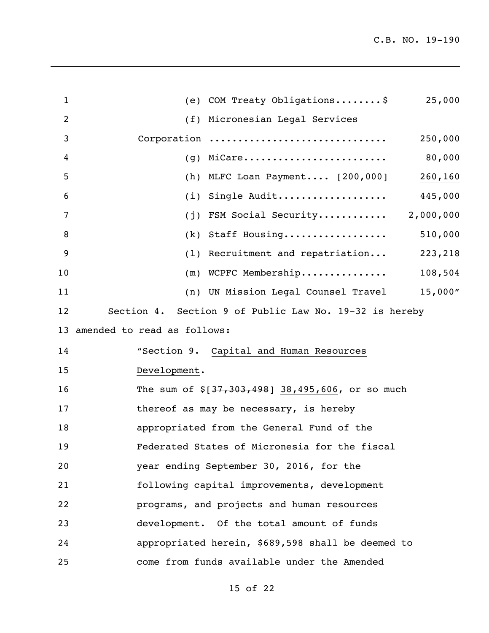| 1  | (e) COM Treaty Obligations\$<br>25,000                 |
|----|--------------------------------------------------------|
| 2  | (f) Micronesian Legal Services                         |
| 3  | Corporation<br>250,000                                 |
| 4  | 80,000<br>MiCare<br>(q)                                |
| 5  | (h) MLFC Loan Payment [200,000]<br>260,160             |
| 6  | Single Audit<br>445,000<br>(i)                         |
| 7  | 2,000,000<br>FSM Social Security<br>(j)                |
| 8  | 510,000<br>Staff Housing<br>(k)                        |
| 9  | $(1)$ Recruitment and repatriation<br>223,218          |
| 10 | $(m)$ WCPFC Membership 108,504                         |
| 11 | (n) UN Mission Legal Counsel Travel 15,000"            |
| 12 | Section 4. Section 9 of Public Law No. 19-32 is hereby |
| 13 | amended to read as follows:                            |
| 14 | "Section 9. Capital and Human Resources                |
| 15 | Development.                                           |
| 16 | The sum of $\S[37, 303, 498]$ 38,495,606, or so much   |
| 17 | thereof as may be necessary, is hereby                 |
| 18 | appropriated from the General Fund of the              |
| 19 | Federated States of Micronesia for the fiscal          |
| 20 | year ending September 30, 2016, for the                |
| 21 | following capital improvements, development            |
| 22 | programs, and projects and human resources             |
| 23 | development. Of the total amount of funds              |
| 24 | appropriated herein, \$689,598 shall be deemed to      |
| 25 | come from funds available under the Amended            |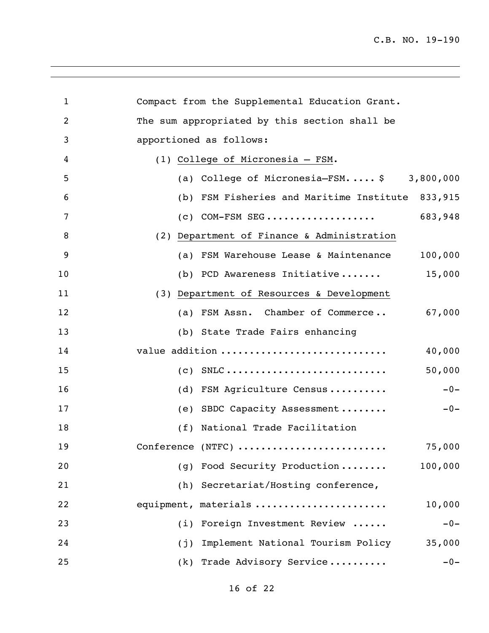| 1              | Compact from the Supplemental Education Grant.        |
|----------------|-------------------------------------------------------|
| $\overline{2}$ | The sum appropriated by this section shall be         |
| 3              | apportioned as follows:                               |
| 4              | (1) College of Micronesia - FSM.                      |
| 5              | (a) College of Micronesia-FSM $\frac{1}{2}$ 3,800,000 |
| 6              | (b) FSM Fisheries and Maritime Institute<br>833,915   |
| 7              | 683,948<br>$(c)$ COM-FSM SEG                          |
| 8              | (2) Department of Finance & Administration            |
| 9              | (a) FSM Warehouse Lease & Maintenance<br>100,000      |
| 10             | 15,000<br>(b) PCD Awareness Initiative                |
| 11             | (3) Department of Resources & Development             |
| 12             | (a) FSM Assn. Chamber of Commerce<br>67,000           |
| 13             | (b) State Trade Fairs enhancing                       |
| 14             | 40,000<br>value addition                              |
| 15             | 50,000                                                |
| 16             | $-0-$<br>(d) FSM Agriculture Census                   |
| 17             | (e) SBDC Capacity Assessment<br>$-0-$                 |
| 18             | (f) National Trade Facilitation                       |
| 19             | Conference (NTFC)<br>75,000                           |
| 20             | Food Security Production<br>100,000<br>(q)            |
| 21             | (h) Secretariat/Hosting conference,                   |
| 22             | equipment, materials<br>10,000                        |
| 23             | Foreign Investment Review<br>(i)<br>$-0-$             |
| 24             | Implement National Tourism Policy<br>35,000<br>(j)    |
| 25             | (k) Trade Advisory Service<br>$-0-$                   |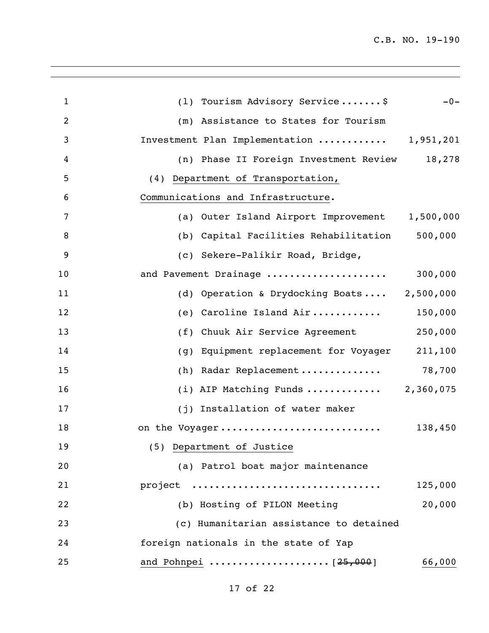| $\mathbf{1}$   | (1) Tourism Advisory Service\$<br>$-0-$             |
|----------------|-----------------------------------------------------|
| $\overline{2}$ | (m) Assistance to States for Tourism                |
| 3              | Investment Plan Implementation  1,951,201           |
| 4              | 18,278<br>(n) Phase II Foreign Investment Review    |
| 5              | (4) Department of Transportation,                   |
| 6              | Communications and Infrastructure.                  |
| 7              | (a) Outer Island Airport Improvement 1,500,000      |
| 8              | 500,000<br>(b) Capital Facilities Rehabilitation    |
| 9              | (c) Sekere-Palikir Road, Bridge,                    |
| 10             | and Pavement Drainage<br>300,000                    |
| 11             | (d) Operation & Drydocking Boats 2,500,000          |
| 12             | (e) Caroline Island Air<br>150,000                  |
| 13             | 250,000<br>(f)<br>Chuuk Air Service Agreement       |
| 14             | Equipment replacement for Voyager<br>211,100<br>(q) |
| 15             | Radar Replacement<br>78,700<br>(h)                  |
| 16             | (i) AIP Matching Funds<br>2,360,075                 |
| 17             | (j) Installation of water maker                     |
| 18             | on the Voyager<br>138,450                           |
| 19             | (5) Department of Justice                           |
| 20             | (a) Patrol boat major maintenance                   |
| 21             | project<br>125,000                                  |
| 22             | (b) Hosting of PILON Meeting<br>20,000              |
| 23             | (c) Humanitarian assistance to detained             |
| 24             | foreign nationals in the state of Yap               |
| 25             | 66,000                                              |
|                |                                                     |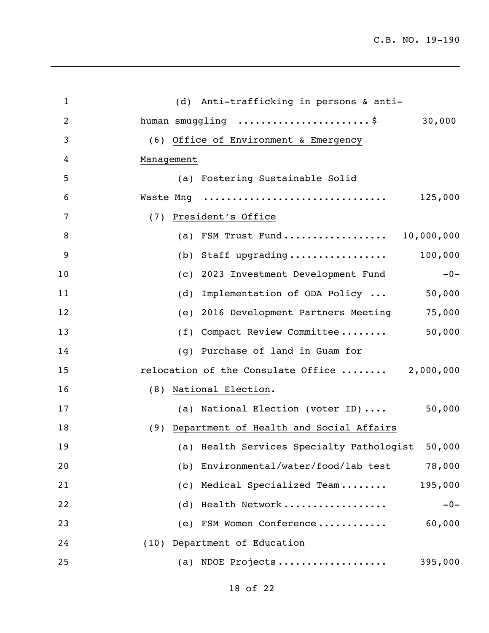| $\mathbf{1}$   | (d) Anti-trafficking in persons & anti-          |
|----------------|--------------------------------------------------|
| $\overline{2}$ | human smuggling \$<br>30,000                     |
| 3              | (6) Office of Environment & Emergency            |
| 4              | Management                                       |
| 5              | (a) Fostering Sustainable Solid                  |
| 6              | Waste Mng<br>125,000                             |
| 7              | (7) President's Office                           |
| 8              | (a) FSM Trust Fund 10,000,000                    |
| 9              | 100,000<br>(b) Staff upgrading                   |
| 10             | (c) 2023 Investment Development Fund<br>$-0-$    |
| 11             | Implementation of ODA Policy<br>(d)<br>50,000    |
| 12             | 75,000<br>(e) 2016 Development Partners Meeting  |
| 13             | (f) Compact Review Committee<br>50,000           |
| 14             | (q) Purchase of land in Guam for                 |
| 15             | relocation of the Consulate Office  2,000,000    |
| 16             | (8) National Election.                           |
| 17             | 50,000<br>(a) National Election (voter ID)       |
| 18             | (9) Department of Health and Social Affairs      |
| 19             | (a) Health Services Specialty Pathologist 50,000 |
| 20             | (b) Environmental/water/food/lab test<br>78,000  |
| 21             | (c) Medical Specialized Team<br>195,000          |
| 22             | Health Network<br>$-0-$<br>(d)                   |
| 23             | FSM Women Conference<br>60,000<br>(e)            |
| 24             | (10) Department of Education                     |
| 25             | (a) NDOE Projects<br>395,000                     |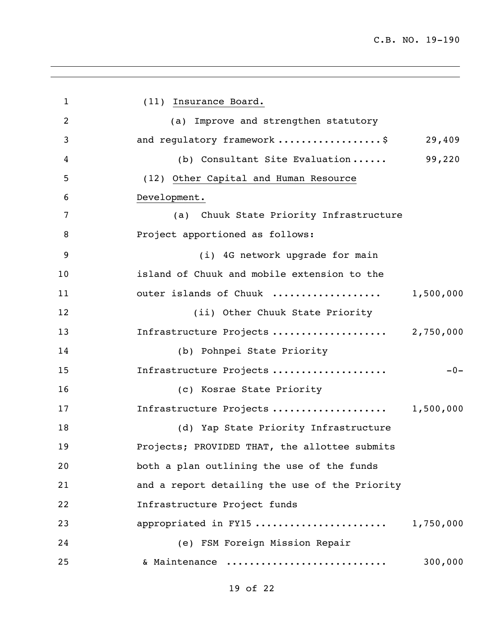1 (11) Insurance Board. (a) Improve and strengthen statutory 3 and requlatory framework ....................\$ 29,409 (b) Consultant Site Evaluation ...... 99,220 (12) Other Capital and Human Resource Development. (a) Chuuk State Priority Infrastructure **Project apportioned as follows:**  (i) 4G network upgrade for main island of Chuuk and mobile extension to the outer islands of Chuuk ................... 1,500,000 (ii) Other Chuuk State Priority Infrastructure Projects .................... 2,750,000 (b) Pohnpei State Priority Infrastructure Projects .................... -0- (c) Kosrae State Priority Infrastructure Projects .................... 1,500,000 (d) Yap State Priority Infrastructure Projects; PROVIDED THAT, the allottee submits both a plan outlining the use of the funds and a report detailing the use of the Priority Infrastructure Project funds appropriated in FY15 ....................... 1,750,000 (e) FSM Foreign Mission Repair & Maintenance ............................ 300,000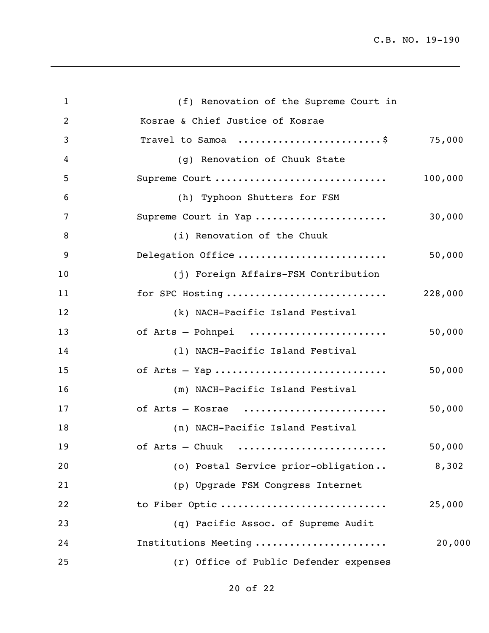| $\mathbf{1}$   | (f) Renovation of the Supreme Court in                                  |         |
|----------------|-------------------------------------------------------------------------|---------|
| $\overline{2}$ | Kosrae & Chief Justice of Kosrae                                        |         |
| 3              | Travel to Samoa $\ldots \ldots \ldots \ldots \ldots \ldots$ . \$ 75,000 |         |
| 4              | (g) Renovation of Chuuk State                                           |         |
| 5              | Supreme Court                                                           | 100,000 |
| 6              | (h) Typhoon Shutters for FSM                                            |         |
| 7              | Supreme Court in Yap                                                    | 30,000  |
| 8              | (i) Renovation of the Chuuk                                             |         |
| 9              | Delegation Office                                                       | 50,000  |
| 10             | (j) Foreign Affairs-FSM Contribution                                    |         |
| 11             | for SPC Hosting                                                         | 228,000 |
| 12             | (k) NACH-Pacific Island Festival                                        |         |
| 13             | of Arts - Pohnpei                                                       | 50,000  |
| 14             | (1) NACH-Pacific Island Festival                                        |         |
| 15             |                                                                         | 50,000  |
| 16             | (m) NACH-Pacific Island Festival                                        |         |
| 17             | of Arts - Kosrae                                                        | 50,000  |
| 18             | (n) NACH-Pacific Island Festival                                        |         |
| 19             | of Arts - Chuuk                                                         | 50,000  |
| 20             | (o) Postal Service prior-obligation                                     | 8,302   |
| 21             | (p) Upgrade FSM Congress Internet                                       |         |
| 22             | to Fiber Optic                                                          | 25,000  |
| 23             | (q) Pacific Assoc. of Supreme Audit                                     |         |
| 24             | Institutions Meeting                                                    | 20,000  |
| 25             | (r) Office of Public Defender expenses                                  |         |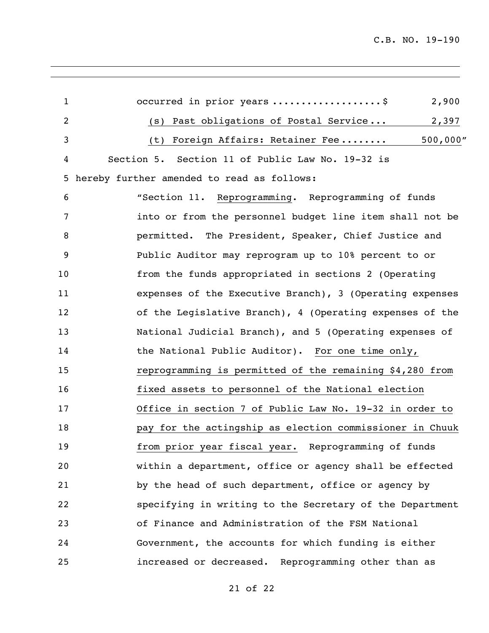| $\mathbf{1}$   | occurred in prior years \$<br>2,900                      |
|----------------|----------------------------------------------------------|
| $\overline{2}$ | Past obligations of Postal Service<br>2,397<br>(s)       |
| 3              | 500,000"<br>Foreign Affairs: Retainer Fee<br>(t)         |
| 4              | Section 5. Section 11 of Public Law No. 19-32 is         |
| 5              | hereby further amended to read as follows:               |
| 6              | "Section 11. Reprogramming. Reprogramming of funds       |
| 7              | into or from the personnel budget line item shall not be |
| 8              | permitted. The President, Speaker, Chief Justice and     |
| 9              | Public Auditor may reprogram up to 10% percent to or     |
| 10             | from the funds appropriated in sections 2 (Operating     |
| 11             | expenses of the Executive Branch), 3 (Operating expenses |
| 12             | of the Legislative Branch), 4 (Operating expenses of the |
| 13             | National Judicial Branch), and 5 (Operating expenses of  |
| 14             | the National Public Auditor). For one time only,         |
| 15             | reprogramming is permitted of the remaining \$4,280 from |
| 16             | fixed assets to personnel of the National election       |
| 17             | Office in section 7 of Public Law No. 19-32 in order to  |
| 18             | pay for the actingship as election commissioner in Chuuk |
| 19             | from prior year fiscal year. Reprogramming of funds      |
| 20             | within a department, office or agency shall be effected  |
| 21             | by the head of such department, office or agency by      |
| 22             | specifying in writing to the Secretary of the Department |
| 23             | of Finance and Administration of the FSM National        |
| 24             | Government, the accounts for which funding is either     |
| 25             | increased or decreased. Reprogramming other than as      |

of 22